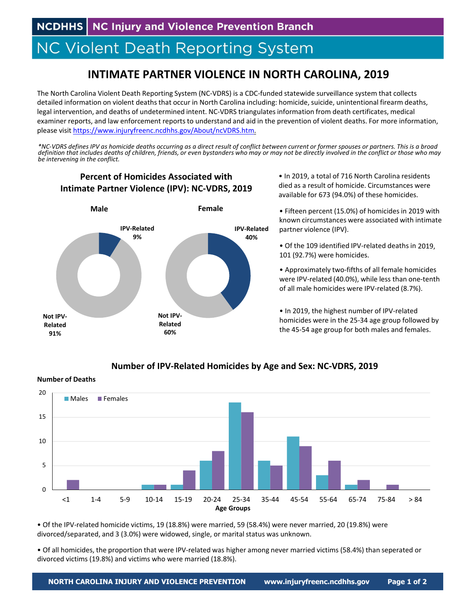**NCDHHS** NC Injury and Violence Prevention Branch

# **NC Violent Death Reporting System**

# **INTIMATE PARTNER VIOLENCE IN NORTH CAROLINA, 2019**

The North Carolina Violent Death Reporting System (NC‐VDRS) is a CDC‐funded statewide surveillance system that collects detailed information on violent deaths that occur in North Carolina including: homicide, suicide, unintentional firearm deaths, legal intervention, and deaths of undetermined intent. NC‐VDRS triangulatesinformation from death certificates, medical examiner reports, and law enforcement reports to understand and aid in the prevention of violent deaths. For more information, please visit https://www.injuryfreenc.ncdhhs.gov/About/ncVDRS.htm.

\*NC-VDRS defines IPV as homicide deaths occurring as a direct result of conflict between current or former spouses or partners. This is a broad definition that includes deaths of children, friends, or even bystanders who may or may not be directly involved in the conflict or those who may *be intervening in the conflict.*

## **Percent of Homicides Associated with Intimate Partner Violence (IPV): NC‐VDRS, 2019**



• In 2019, a total of 716 North Carolina residents died as a result of homicide. Circumstances were available for 673 (94.0%) of these homicides.

• Fifteen percent (15.0%) of homicides in 2019 with known circumstances were associated with intimate partner violence (IPV).

• Of the 109 identified IPV‐related deaths in 2019, 101 (92.7%) were homicides.

• Approximately two‐fifths of all female homicides were IPV-related (40.0%), while less than one-tenth of all male homicides were IPV‐related (8.7%).

• In 2019, the highest number of IPV‐related homicides were in the 25‐34 age group followed by the 45‐54 age group for both males and females.

#### **Number of IPV‐Related Homicides by Age and Sex: NC‐VDRS, 2019**

**Number of Deaths**



• Of the IPV‐related homicide victims, 19 (18.8%) were married, 59 (58.4%) were never married, 20 (19.8%) were divorced/separated, and 3 (3.0%) were widowed, single, or marital status was unknown.

• Of all homicides, the proportion that were IPV‐related was higher among never married victims (58.4%) than seperated or divorced victims (19.8%) and victims who were married (18.8%).